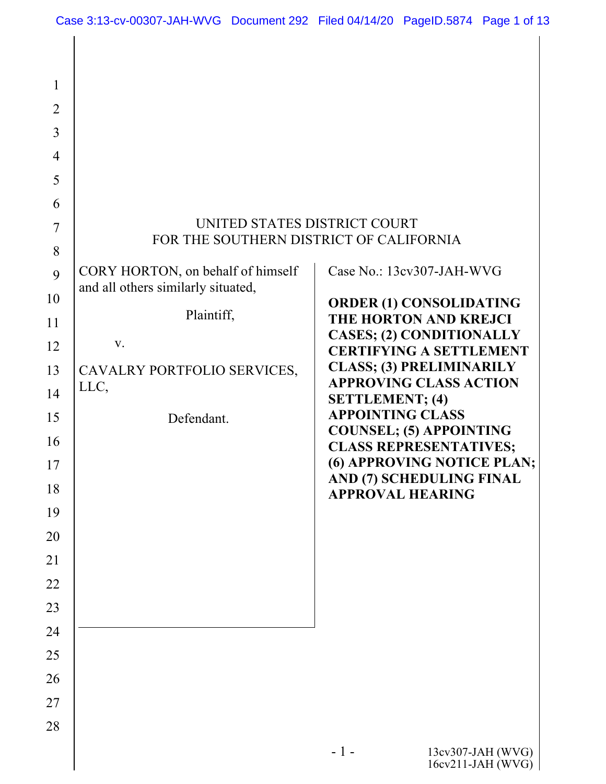| $\mathbf{1}$<br>$\overline{2}$<br>3<br>$\overline{4}$<br>5<br>6<br>$\tau$<br>8<br>9<br>10<br>11<br>12<br>13<br>14<br>15<br>16<br>17 | UNITED STATES DISTRICT COURT<br>FOR THE SOUTHERN DISTRICT OF CALIFORNIA<br>CORY HORTON, on behalf of himself<br>and all others similarly situated,<br>Plaintiff,<br>V.<br>CAVALRY PORTFOLIO SERVICES,<br>LLC,<br>Defendant. | Case No.: 13cv307-JAH-WVG<br><b>ORDER (1) CONSOLIDATING</b><br>THE HORTON AND KREJCI<br><b>CASES; (2) CONDITIONALLY</b><br><b>CERTIFYING A SETTLEMENT</b><br><b>CLASS; (3) PRELIMINARILY</b><br><b>APPROVING CLASS ACTION</b><br><b>SETTLEMENT; (4)</b><br><b>APPOINTING CLASS</b><br><b>COUNSEL; (5) APPOINTING</b><br><b>CLASS REPRESENTATIVES;</b><br>(6) APPROVING NOTICE PLAN;<br>AND (7) SCHEDULING FINAL |
|-------------------------------------------------------------------------------------------------------------------------------------|-----------------------------------------------------------------------------------------------------------------------------------------------------------------------------------------------------------------------------|-----------------------------------------------------------------------------------------------------------------------------------------------------------------------------------------------------------------------------------------------------------------------------------------------------------------------------------------------------------------------------------------------------------------|
| 18<br>19<br>20<br>21<br>22<br>23<br>24<br>25<br>26<br>27<br>28                                                                      |                                                                                                                                                                                                                             | <b>APPROVAL HEARING</b>                                                                                                                                                                                                                                                                                                                                                                                         |
|                                                                                                                                     |                                                                                                                                                                                                                             | $-1-$<br>13cv307-JAH (WVG)<br>$16cv211-JAH$ (WVG)                                                                                                                                                                                                                                                                                                                                                               |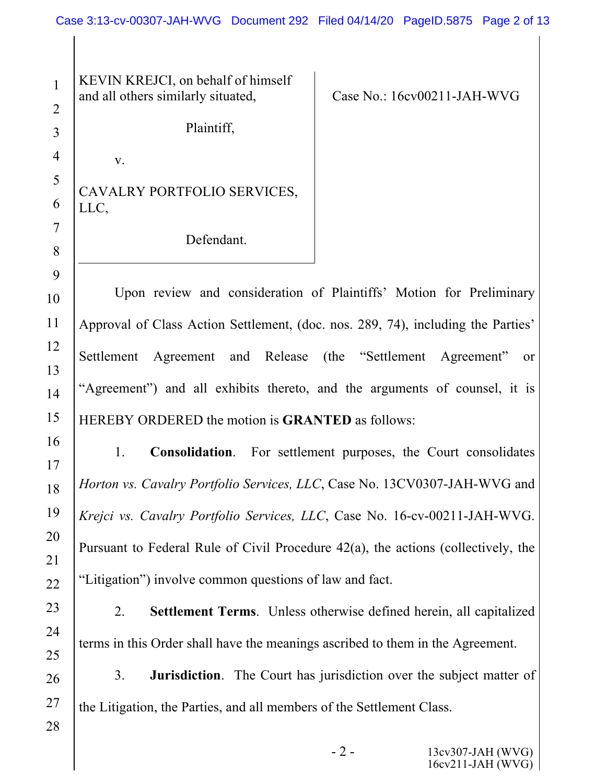KEVIN KREJCI, on behalf of himself and all others similarly situated,

v.

1

2

3

4

5

6

7

8

9

10

11

12

13

14

15

16

17

18

19

Case No.: 16cv00211-JAH-WVG

Plaintiff,

CAVALRY PORTFOLIO SERVICES, LLC,

Defendant.

Upon review and consideration of Plaintiffs' Motion for Preliminary Approval of Class Action Settlement, (doc. nos. 289, 74), including the Parties' Settlement Agreement and Release (the "Settlement Agreement" or "Agreement") and all exhibits thereto, and the arguments of counsel, it is HEREBY ORDERED the motion is **GRANTED** as follows:

1. **Consolidation**. For settlement purposes, the Court consolidates *Horton vs. Cavalry Portfolio Services, LLC*, Case No. 13CV0307-JAH-WVG and *Krejci vs. Cavalry Portfolio Services, LLC*, Case No. 16-cv-00211-JAH-WVG. Pursuant to Federal Rule of Civil Procedure 42(a), the actions (collectively, the "Litigation") involve common questions of law and fact.

2. **Settlement Terms**. Unless otherwise defined herein, all capitalized terms in this Order shall have the meanings ascribed to them in the Agreement.

3. **Jurisdiction**. The Court has jurisdiction over the subject matter of the Litigation, the Parties, and all members of the Settlement Class.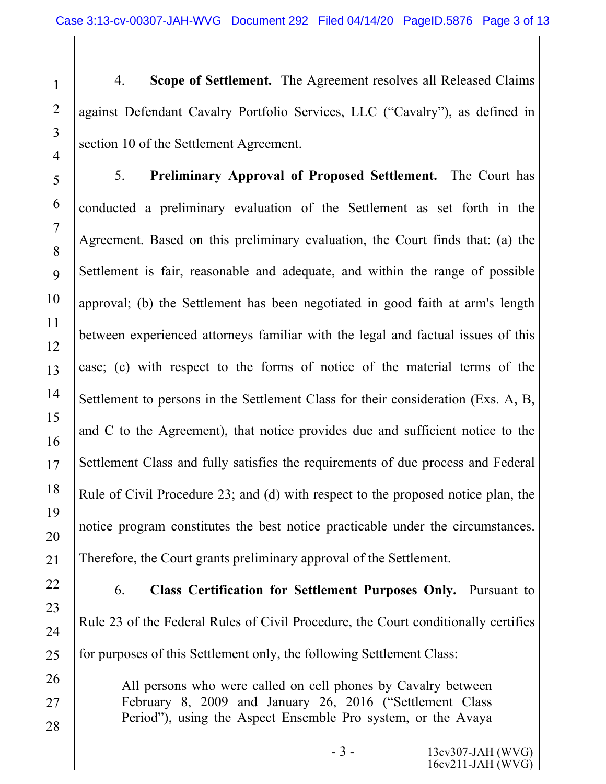4. **Scope of Settlement.** The Agreement resolves all Released Claims against Defendant Cavalry Portfolio Services, LLC ("Cavalry"), as defined in section 10 of the Settlement Agreement.

5. **Preliminary Approval of Proposed Settlement.** The Court has conducted a preliminary evaluation of the Settlement as set forth in the Agreement. Based on this preliminary evaluation, the Court finds that: (a) the Settlement is fair, reasonable and adequate, and within the range of possible approval; (b) the Settlement has been negotiated in good faith at arm's length between experienced attorneys familiar with the legal and factual issues of this case; (c) with respect to the forms of notice of the material terms of the Settlement to persons in the Settlement Class for their consideration (Exs. A, B, and C to the Agreement), that notice provides due and sufficient notice to the Settlement Class and fully satisfies the requirements of due process and Federal Rule of Civil Procedure 23; and (d) with respect to the proposed notice plan, the notice program constitutes the best notice practicable under the circumstances. Therefore, the Court grants preliminary approval of the Settlement.

6. **Class Certification for Settlement Purposes Only.** Pursuant to Rule 23 of the Federal Rules of Civil Procedure, the Court conditionally certifies for purposes of this Settlement only, the following Settlement Class:

All persons who were called on cell phones by Cavalry between February 8, 2009 and January 26, 2016 ("Settlement Class Period"), using the Aspect Ensemble Pro system, or the Avaya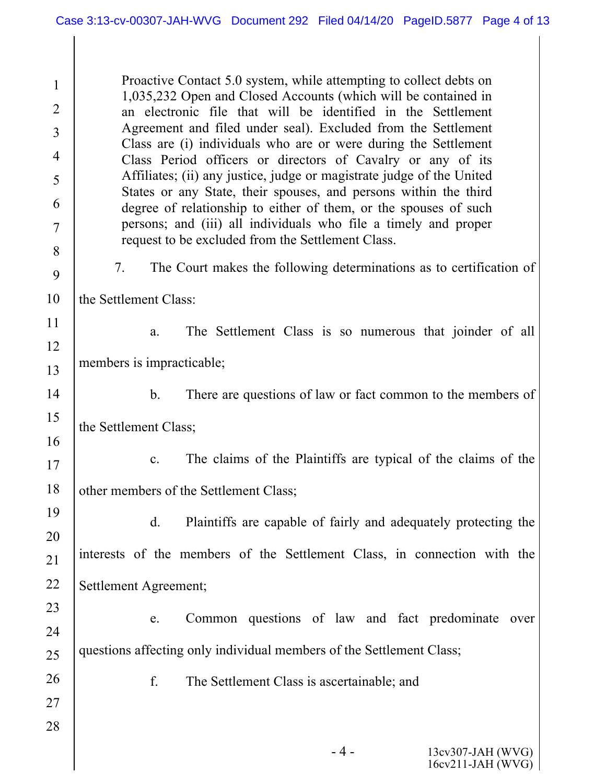| $\mathbf{1}$   | Proactive Contact 5.0 system, while attempting to collect debts on                                                                   |  |  |  |  |  |
|----------------|--------------------------------------------------------------------------------------------------------------------------------------|--|--|--|--|--|
| 2              | 1,035,232 Open and Closed Accounts (which will be contained in<br>an electronic file that will be identified in the Settlement       |  |  |  |  |  |
| 3              | Agreement and filed under seal). Excluded from the Settlement                                                                        |  |  |  |  |  |
| $\overline{4}$ | Class are (i) individuals who are or were during the Settlement<br>Class Period officers or directors of Cavalry or any of its       |  |  |  |  |  |
| 5              | Affiliates; (ii) any justice, judge or magistrate judge of the United                                                                |  |  |  |  |  |
| 6              | States or any State, their spouses, and persons within the third<br>degree of relationship to either of them, or the spouses of such |  |  |  |  |  |
| 7              | persons; and (iii) all individuals who file a timely and proper                                                                      |  |  |  |  |  |
| 8              | request to be excluded from the Settlement Class.                                                                                    |  |  |  |  |  |
| 9              | The Court makes the following determinations as to certification of<br>7.                                                            |  |  |  |  |  |
| 10             | the Settlement Class:                                                                                                                |  |  |  |  |  |
| 11             | The Settlement Class is so numerous that joinder of all<br>a.                                                                        |  |  |  |  |  |
| 12             |                                                                                                                                      |  |  |  |  |  |
| 13             | members is impracticable;                                                                                                            |  |  |  |  |  |
| 14             | There are questions of law or fact common to the members of<br>$\mathbf{b}$ .                                                        |  |  |  |  |  |
| 15             | the Settlement Class;                                                                                                                |  |  |  |  |  |
| 16             |                                                                                                                                      |  |  |  |  |  |
| 17             | The claims of the Plaintiffs are typical of the claims of the<br>$\mathbf{c}$ .                                                      |  |  |  |  |  |
| 18             | other members of the Settlement Class;                                                                                               |  |  |  |  |  |
| 19             | d.<br>Plaintiffs are capable of fairly and adequately protecting the                                                                 |  |  |  |  |  |
| 20             |                                                                                                                                      |  |  |  |  |  |
| 21             | interests of the members of the Settlement Class, in connection with the                                                             |  |  |  |  |  |
| 22             | Settlement Agreement;                                                                                                                |  |  |  |  |  |
| 23             | Common questions of law and fact predominate<br>over<br>e.                                                                           |  |  |  |  |  |
| 24             |                                                                                                                                      |  |  |  |  |  |
| 25             | questions affecting only individual members of the Settlement Class;                                                                 |  |  |  |  |  |
| 26             | f.<br>The Settlement Class is ascertainable; and                                                                                     |  |  |  |  |  |
| 27             |                                                                                                                                      |  |  |  |  |  |
| 28             |                                                                                                                                      |  |  |  |  |  |
|                | 13cv307-JAH (WVG)<br>- 4 -                                                                                                           |  |  |  |  |  |

16cv211-JAH (WVG)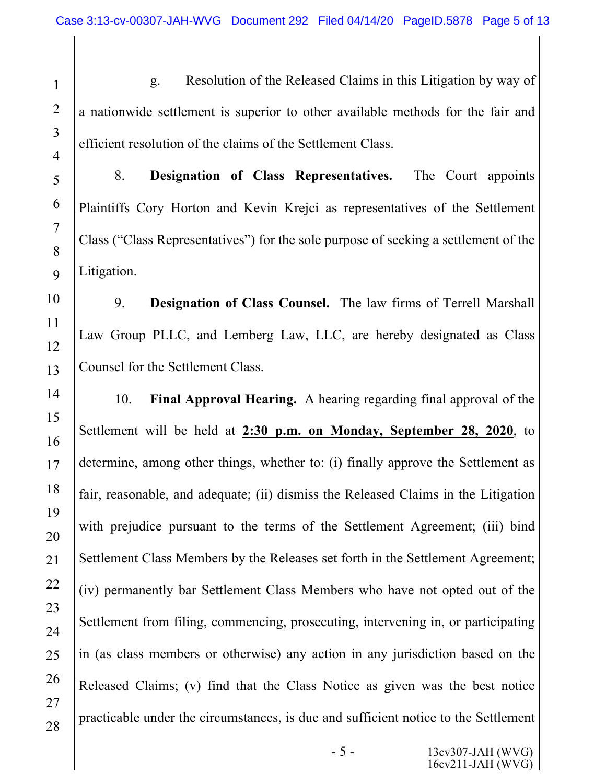1

2

3

4

5

6

7

8

9

10

11

12

13

14

15

16

17

18

19

20

21

22

23

24

25

26

27

28

g. Resolution of the Released Claims in this Litigation by way of a nationwide settlement is superior to other available methods for the fair and efficient resolution of the claims of the Settlement Class.

8. **Designation of Class Representatives.** The Court appoints Plaintiffs Cory Horton and Kevin Krejci as representatives of the Settlement Class ("Class Representatives") for the sole purpose of seeking a settlement of the Litigation.

9. **Designation of Class Counsel.** The law firms of Terrell Marshall Law Group PLLC, and Lemberg Law, LLC, are hereby designated as Class Counsel for the Settlement Class.

10. **Final Approval Hearing.** A hearing regarding final approval of the Settlement will be held at **2:30 p.m. on Monday, September 28, 2020**, to determine, among other things, whether to: (i) finally approve the Settlement as fair, reasonable, and adequate; (ii) dismiss the Released Claims in the Litigation with prejudice pursuant to the terms of the Settlement Agreement; (iii) bind Settlement Class Members by the Releases set forth in the Settlement Agreement; (iv) permanently bar Settlement Class Members who have not opted out of the Settlement from filing, commencing, prosecuting, intervening in, or participating in (as class members or otherwise) any action in any jurisdiction based on the Released Claims; (v) find that the Class Notice as given was the best notice practicable under the circumstances, is due and sufficient notice to the Settlement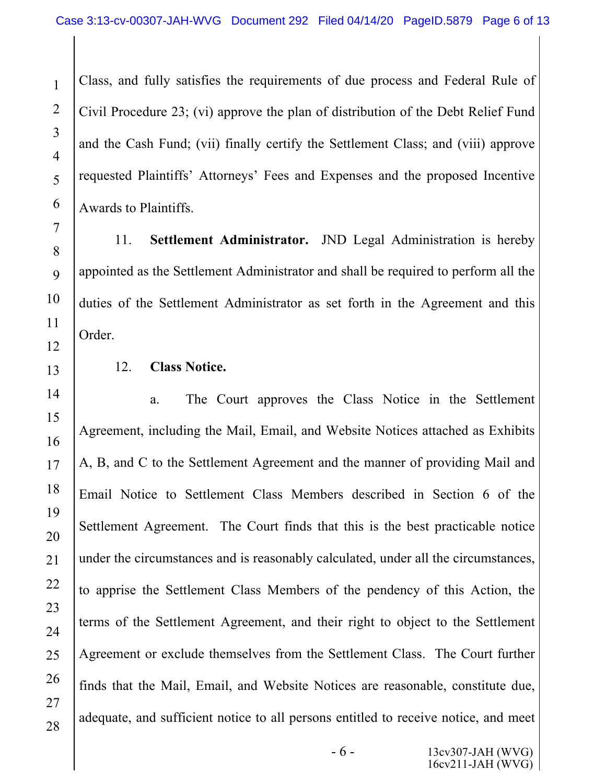Class, and fully satisfies the requirements of due process and Federal Rule of Civil Procedure 23; (vi) approve the plan of distribution of the Debt Relief Fund and the Cash Fund; (vii) finally certify the Settlement Class; and (viii) approve requested Plaintiffs' Attorneys' Fees and Expenses and the proposed Incentive Awards to Plaintiffs.

11. **Settlement Administrator.** JND Legal Administration is hereby appointed as the Settlement Administrator and shall be required to perform all the duties of the Settlement Administrator as set forth in the Agreement and this Order.

12. **Class Notice.**

a. The Court approves the Class Notice in the Settlement Agreement, including the Mail, Email, and Website Notices attached as Exhibits A, B, and C to the Settlement Agreement and the manner of providing Mail and Email Notice to Settlement Class Members described in Section 6 of the Settlement Agreement. The Court finds that this is the best practicable notice under the circumstances and is reasonably calculated, under all the circumstances, to apprise the Settlement Class Members of the pendency of this Action, the terms of the Settlement Agreement, and their right to object to the Settlement Agreement or exclude themselves from the Settlement Class. The Court further finds that the Mail, Email, and Website Notices are reasonable, constitute due, adequate, and sufficient notice to all persons entitled to receive notice, and meet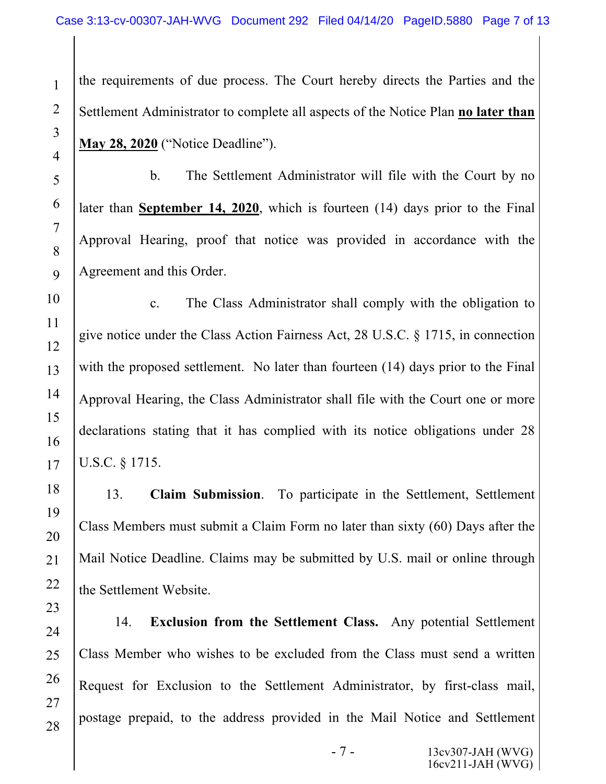the requirements of due process. The Court hereby directs the Parties and the Settlement Administrator to complete all aspects of the Notice Plan **no later than May 28, 2020** ("Notice Deadline").

b. The Settlement Administrator will file with the Court by no later than **September 14, 2020**, which is fourteen (14) days prior to the Final Approval Hearing, proof that notice was provided in accordance with the Agreement and this Order.

c. The Class Administrator shall comply with the obligation to give notice under the Class Action Fairness Act, 28 U.S.C. § 1715, in connection with the proposed settlement. No later than fourteen (14) days prior to the Final Approval Hearing, the Class Administrator shall file with the Court one or more declarations stating that it has complied with its notice obligations under 28 U.S.C. § 1715.

13. **Claim Submission**. To participate in the Settlement, Settlement Class Members must submit a Claim Form no later than sixty (60) Days after the Mail Notice Deadline. Claims may be submitted by U.S. mail or online through the Settlement Website.

14. **Exclusion from the Settlement Class.** Any potential Settlement Class Member who wishes to be excluded from the Class must send a written Request for Exclusion to the Settlement Administrator, by first-class mail, postage prepaid, to the address provided in the Mail Notice and Settlement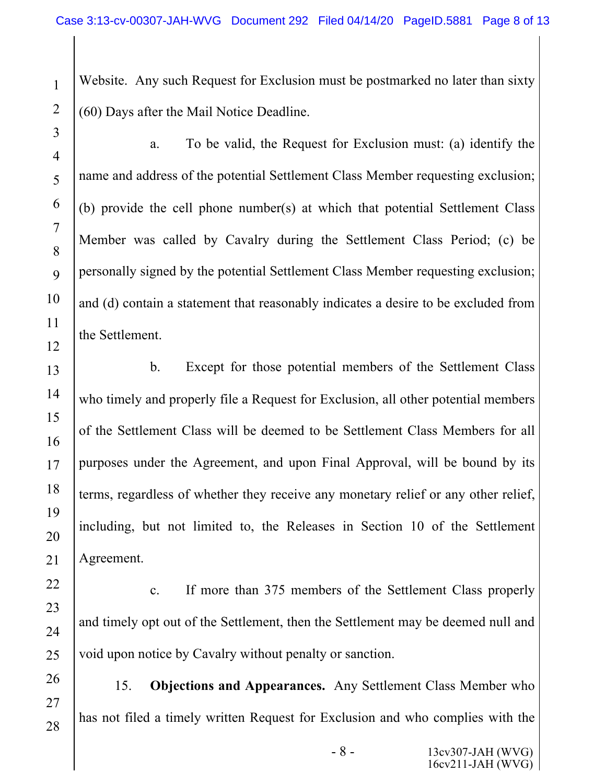Website. Any such Request for Exclusion must be postmarked no later than sixty (60) Days after the Mail Notice Deadline.

1

a. To be valid, the Request for Exclusion must: (a) identify the name and address of the potential Settlement Class Member requesting exclusion; (b) provide the cell phone number(s) at which that potential Settlement Class Member was called by Cavalry during the Settlement Class Period; (c) be personally signed by the potential Settlement Class Member requesting exclusion; and (d) contain a statement that reasonably indicates a desire to be excluded from the Settlement.

b. Except for those potential members of the Settlement Class who timely and properly file a Request for Exclusion, all other potential members of the Settlement Class will be deemed to be Settlement Class Members for all purposes under the Agreement, and upon Final Approval, will be bound by its terms, regardless of whether they receive any monetary relief or any other relief, including, but not limited to, the Releases in Section 10 of the Settlement Agreement.

c. If more than 375 members of the Settlement Class properly and timely opt out of the Settlement, then the Settlement may be deemed null and void upon notice by Cavalry without penalty or sanction.

15. **Objections and Appearances.** Any Settlement Class Member who has not filed a timely written Request for Exclusion and who complies with the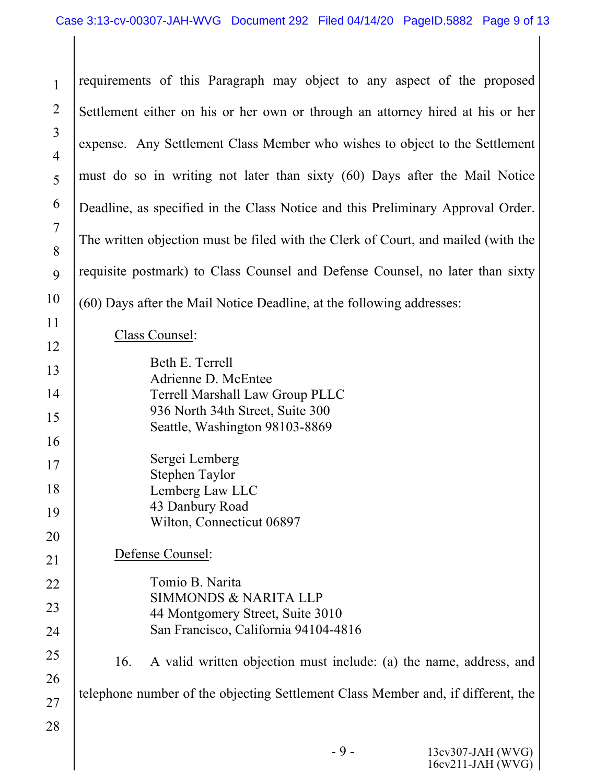| $\mathbf{1}$                     | requirements of this Paragraph may object to any aspect of the proposed           |  |  |  |  |
|----------------------------------|-----------------------------------------------------------------------------------|--|--|--|--|
| $\overline{2}$                   | Settlement either on his or her own or through an attorney hired at his or her    |  |  |  |  |
| $\overline{3}$<br>$\overline{4}$ | expense. Any Settlement Class Member who wishes to object to the Settlement       |  |  |  |  |
| 5                                | must do so in writing not later than sixty (60) Days after the Mail Notice        |  |  |  |  |
| 6                                | Deadline, as specified in the Class Notice and this Preliminary Approval Order.   |  |  |  |  |
| $\overline{7}$<br>8              | The written objection must be filed with the Clerk of Court, and mailed (with the |  |  |  |  |
| 9                                | requisite postmark) to Class Counsel and Defense Counsel, no later than sixty     |  |  |  |  |
| 10                               | (60) Days after the Mail Notice Deadline, at the following addresses:             |  |  |  |  |
| 11                               | Class Counsel:                                                                    |  |  |  |  |
| 12                               | Beth E. Terrell                                                                   |  |  |  |  |
| 13<br>14                         | Adrienne D. McEntee                                                               |  |  |  |  |
| 15                               | Terrell Marshall Law Group PLLC<br>936 North 34th Street, Suite 300               |  |  |  |  |
| 16                               | Seattle, Washington 98103-8869                                                    |  |  |  |  |
| 17                               | Sergei Lemberg                                                                    |  |  |  |  |
| 18                               | Stephen Taylor<br>Lemberg Law LLC                                                 |  |  |  |  |
| 19                               | 43 Danbury Road                                                                   |  |  |  |  |
| 20                               | Wilton, Connecticut 06897                                                         |  |  |  |  |
| 21                               | Defense Counsel:                                                                  |  |  |  |  |
| 22                               | Tomio B. Narita                                                                   |  |  |  |  |
| 23                               | <b>SIMMONDS &amp; NARITA LLP</b><br>44 Montgomery Street, Suite 3010              |  |  |  |  |
| 24                               | San Francisco, California 94104-4816                                              |  |  |  |  |
| 25                               | A valid written objection must include: (a) the name, address, and<br>16.         |  |  |  |  |
| 26                               | telephone number of the objecting Settlement Class Member and, if different, the  |  |  |  |  |
| 27                               |                                                                                   |  |  |  |  |
| 28                               |                                                                                   |  |  |  |  |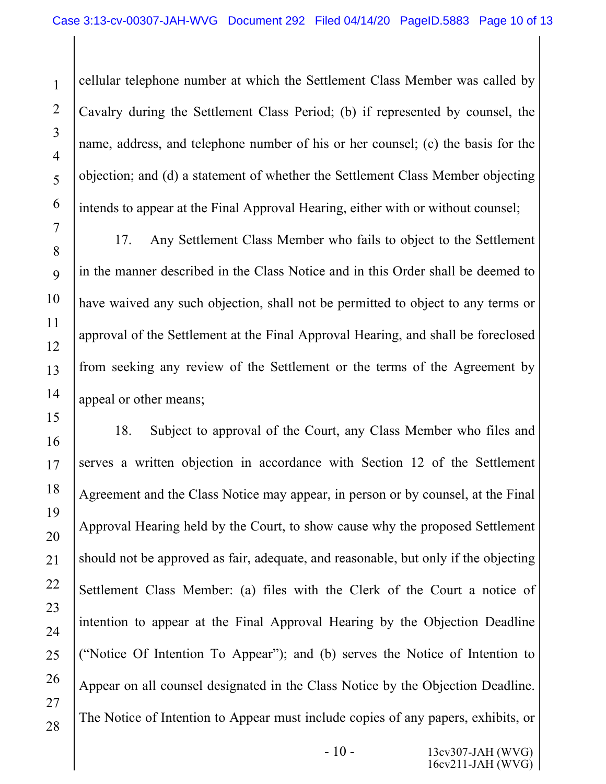cellular telephone number at which the Settlement Class Member was called by Cavalry during the Settlement Class Period; (b) if represented by counsel, the name, address, and telephone number of his or her counsel; (c) the basis for the objection; and (d) a statement of whether the Settlement Class Member objecting intends to appear at the Final Approval Hearing, either with or without counsel;

17. Any Settlement Class Member who fails to object to the Settlement in the manner described in the Class Notice and in this Order shall be deemed to have waived any such objection, shall not be permitted to object to any terms or approval of the Settlement at the Final Approval Hearing, and shall be foreclosed from seeking any review of the Settlement or the terms of the Agreement by appeal or other means;

18. Subject to approval of the Court, any Class Member who files and serves a written objection in accordance with Section 12 of the Settlement Agreement and the Class Notice may appear, in person or by counsel, at the Final Approval Hearing held by the Court, to show cause why the proposed Settlement should not be approved as fair, adequate, and reasonable, but only if the objecting Settlement Class Member: (a) files with the Clerk of the Court a notice of intention to appear at the Final Approval Hearing by the Objection Deadline ("Notice Of Intention To Appear"); and (b) serves the Notice of Intention to Appear on all counsel designated in the Class Notice by the Objection Deadline. The Notice of Intention to Appear must include copies of any papers, exhibits, or

1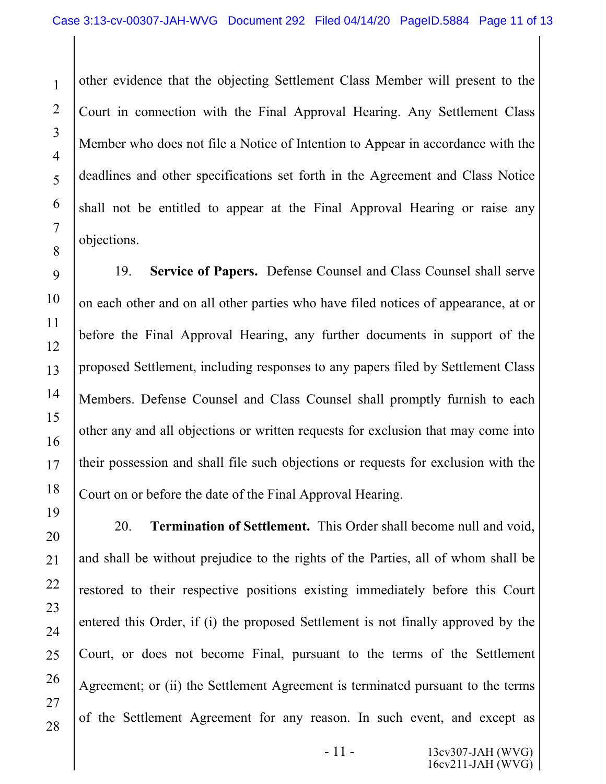other evidence that the objecting Settlement Class Member will present to the Court in connection with the Final Approval Hearing. Any Settlement Class Member who does not file a Notice of Intention to Appear in accordance with the deadlines and other specifications set forth in the Agreement and Class Notice shall not be entitled to appear at the Final Approval Hearing or raise any objections.

19. **Service of Papers.** Defense Counsel and Class Counsel shall serve on each other and on all other parties who have filed notices of appearance, at or before the Final Approval Hearing, any further documents in support of the proposed Settlement, including responses to any papers filed by Settlement Class Members. Defense Counsel and Class Counsel shall promptly furnish to each other any and all objections or written requests for exclusion that may come into their possession and shall file such objections or requests for exclusion with the Court on or before the date of the Final Approval Hearing.

20. **Termination of Settlement.** This Order shall become null and void, and shall be without prejudice to the rights of the Parties, all of whom shall be restored to their respective positions existing immediately before this Court entered this Order, if (i) the proposed Settlement is not finally approved by the Court, or does not become Final, pursuant to the terms of the Settlement Agreement; or (ii) the Settlement Agreement is terminated pursuant to the terms of the Settlement Agreement for any reason. In such event, and except as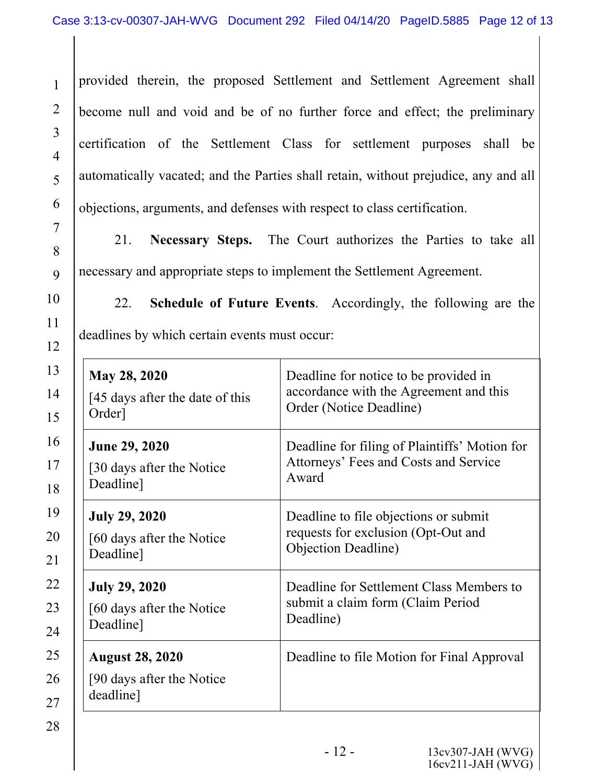4 5 provided therein, the proposed Settlement and Settlement Agreement shall become null and void and be of no further force and effect; the preliminary certification of the Settlement Class for settlement purposes shall be automatically vacated; and the Parties shall retain, without prejudice, any and all objections, arguments, and defenses with respect to class certification.

21. **Necessary Steps.** The Court authorizes the Parties to take all necessary and appropriate steps to implement the Settlement Agreement.

22. **Schedule of Future Events**. Accordingly, the following are the deadlines by which certain events must occur:

| <b>May 28, 2020</b>                                               | Deadline for notice to be provided in         |  |  |
|-------------------------------------------------------------------|-----------------------------------------------|--|--|
| [45 days after the date of this                                   | accordance with the Agreement and this        |  |  |
| Order]                                                            | Order (Notice Deadline)                       |  |  |
| <b>June 29, 2020</b>                                              | Deadline for filing of Plaintiffs' Motion for |  |  |
| [30 days after the Notice]                                        | Attorneys' Fees and Costs and Service         |  |  |
| Deadline]                                                         | Award                                         |  |  |
| <b>July 29, 2020</b>                                              | Deadline to file objections or submit         |  |  |
| [60 days after the Notice]                                        | requests for exclusion (Opt-Out and           |  |  |
| Deadline]                                                         | <b>Objection Deadline</b> )                   |  |  |
| <b>July 29, 2020</b>                                              | Deadline for Settlement Class Members to      |  |  |
| [60 days after the Notice]                                        | submit a claim form (Claim Period             |  |  |
| Deadline]                                                         | Deadline)                                     |  |  |
| <b>August 28, 2020</b><br>[90 days after the Notice]<br>deadline] | Deadline to file Motion for Final Approval    |  |  |

1

2

3

6

7

8